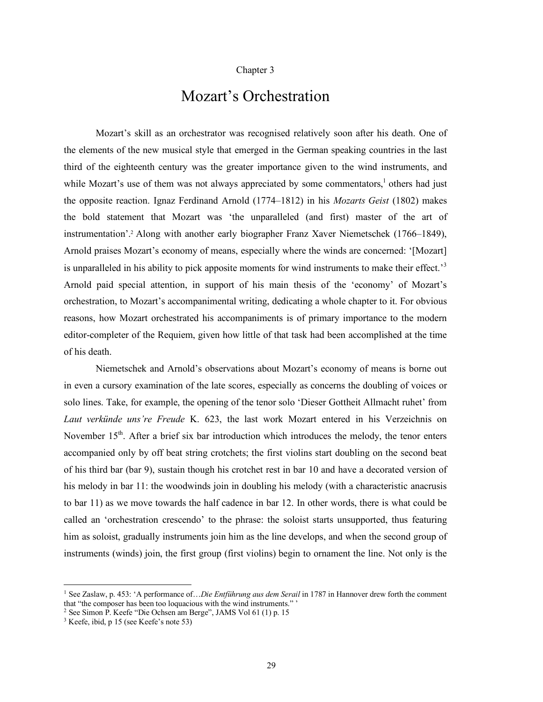## Chapter 3

## Mozart's Orchestration

Mozart's skill as an orchestrator was recognised relatively soon after his death. One of the elements of the new musical style that emerged in the German speaking countries in the last third of the eighteenth century was the greater importance given to the wind instruments, and while Mozart's use of them was not always appreciated by some commentators, $\frac{1}{2}$  others had just the opposite reaction. Ignaz Ferdinand Arnold (1774–1812) in his *Mozarts Geist* (1802) makes the bold statement that Mozart was 'the unparalleled (and first) master of the art of instrumentation'. <sup>2</sup> Along with another early biographer Franz Xaver Niemetschek (1766–1849), Arnold praises Mozart's economy of means, especially where the winds are concerned: '[Mozart] is unparalleled in his ability to pick apposite moments for wind instruments to make their effect.<sup>3</sup> Arnold paid special attention, in support of his main thesis of the 'economy' of Mozart's orchestration, to Mozart's accompanimental writing, dedicating a whole chapter to it. For obvious reasons, how Mozart orchestrated his accompaniments is of primary importance to the modern editor-completer of the Requiem, given how little of that task had been accomplished at the time of his death.

Niemetschek and Arnold's observations about Mozart's economy of means is borne out in even a cursory examination of the late scores, especially as concerns the doubling of voices or solo lines. Take, for example, the opening of the tenor solo 'Dieser Gottheit Allmacht ruhet' from *Laut verkünde uns're Freude* K. 623, the last work Mozart entered in his Verzeichnis on November 15<sup>th</sup>. After a brief six bar introduction which introduces the melody, the tenor enters accompanied only by off beat string crotchets; the first violins start doubling on the second beat of his third bar (bar 9), sustain though his crotchet rest in bar 10 and have a decorated version of his melody in bar 11: the woodwinds join in doubling his melody (with a characteristic anacrusis to bar 11) as we move towards the half cadence in bar 12. In other words, there is what could be called an 'orchestration crescendo' to the phrase: the soloist starts unsupported, thus featuring him as soloist, gradually instruments join him as the line develops, and when the second group of instruments (winds) join, the first group (first violins) begin to ornament the line. Not only is the

 <sup>1</sup> See Zaslaw, p. 453: 'A performance of…*Die Entführung aus dem Serail* in <sup>1787</sup> in Hannover drew forth the comment that "the composer has been too loquacious with the wind instruments." '

 $2$  See Simon P. Keefe "Die Ochsen am Berge", JAMS Vol 61 (1) p. 15

<sup>3</sup> Keefe, ibid, p 15 (see Keefe's note 53)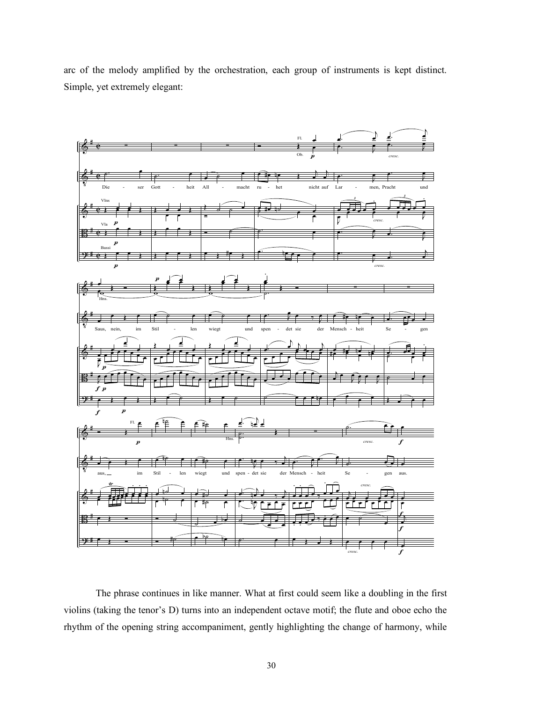arc of the melody amplified by the orchestration, each group of instruments is kept distinct. Simple, yet extremely elegant:



The phrase continues in like manner. What at first could seem like a doubling in the first violins (taking the tenor's D) turns into an independent octave motif; the flute and oboe echo the rhythm of the opening string accompaniment, gently highlighting the change of harmony, while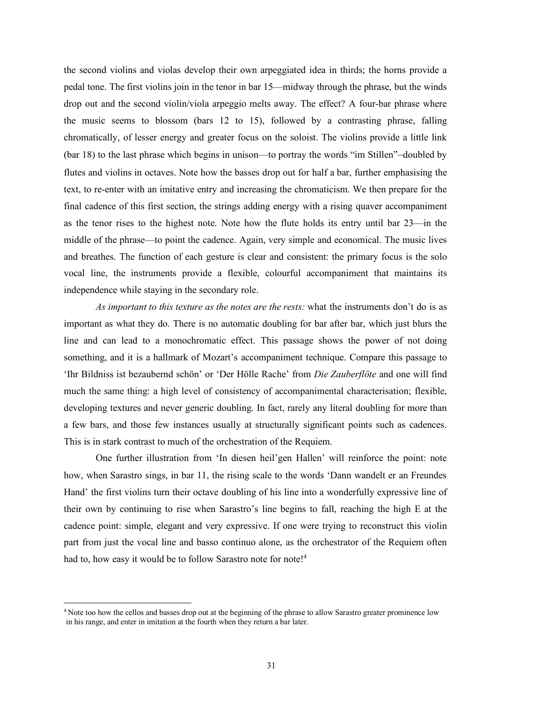the second violins and violas develop their own arpeggiated idea in thirds; the horns provide a pedal tone. The first violins join in the tenor in bar 15—midway through the phrase, but the winds drop out and the second violin/viola arpeggio melts away. The effect? A four-bar phrase where the music seems to blossom (bars 12 to 15), followed by a contrasting phrase, falling chromatically, of lesser energy and greater focus on the soloist. The violins provide a little link (bar 18) to the last phrase which begins in unison—to portray the words "im Stillen"–doubled by flutes and violins in octaves. Note how the basses drop out for half a bar, further emphasising the text, to re-enter with an imitative entry and increasing the chromaticism. We then prepare for the final cadence of this first section, the strings adding energy with a rising quaver accompaniment as the tenor rises to the highest note. Note how the flute holds its entry until bar 23—in the middle of the phrase—to point the cadence. Again, very simple and economical. The music lives and breathes. The function of each gesture is clear and consistent: the primary focus is the solo vocal line, the instruments provide a flexible, colourful accompaniment that maintains its independence while staying in the secondary role.

*As important to this texture as the notes are the rests:* what the instruments don't do is as important as what they do. There is no automatic doubling for bar after bar, which just blurs the line and can lead to a monochromatic effect. This passage shows the power of not doing something, and it is a hallmark of Mozart's accompaniment technique. Compare this passage to 'Ihr Bildniss ist bezaubernd schön' or 'Der Hölle Rache' from *Die Zauberflöte* and one will find much the same thing: a high level of consistency of accompanimental characterisation; flexible, developing textures and never generic doubling. In fact, rarely any literal doubling for more than a few bars, and those few instances usually at structurally significant points such as cadences. This is in stark contrast to much of the orchestration of the Requiem.

One further illustration from 'In diesen heil'gen Hallen' will reinforce the point: note how, when Sarastro sings, in bar 11, the rising scale to the words 'Dann wandelt er an Freundes Hand' the first violins turn their octave doubling of his line into a wonderfully expressive line of their own by continuing to rise when Sarastro's line begins to fall, reaching the high E at the cadence point: simple, elegant and very expressive. If one were trying to reconstruct this violin part from just the vocal line and basso continuo alone, as the orchestrator of the Requiem often had to, how easy it would be to follow Sarastro note for note!<sup>4</sup>

<sup>&</sup>lt;sup>4</sup> Note too how the cellos and basses drop out at the beginning of the phrase to allow Sarastro greater prominence low in his range, and enter in imitation at the fourth when they return a bar later.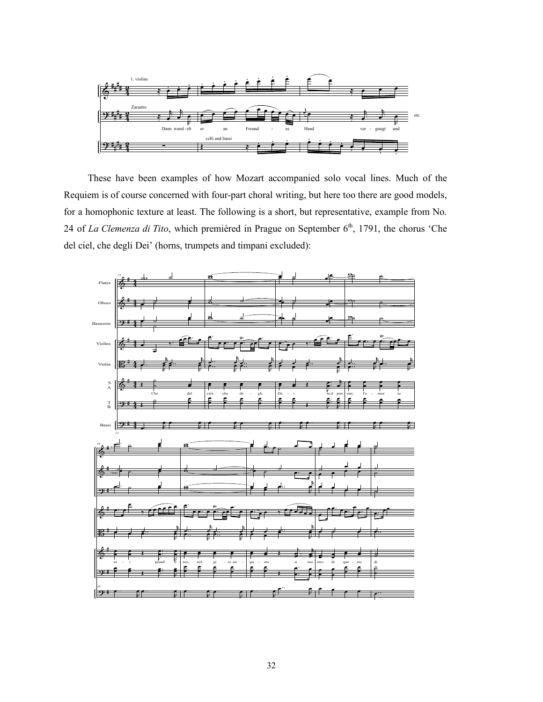

These have been examples of how Mozart accompanied solo vocal lines. Much of the Requiem is of course concerned with four-part choral writing, but here too there are good models, for a homophonic texture at least. The following is a short, but representative, example from No. 24 of La Clemenza di Tito, which premièred in Prague on September 6<sup>th</sup>, 1791, the chorus 'Che del ciel, che degli Dei' (horns, trumpets and timpani excluded):

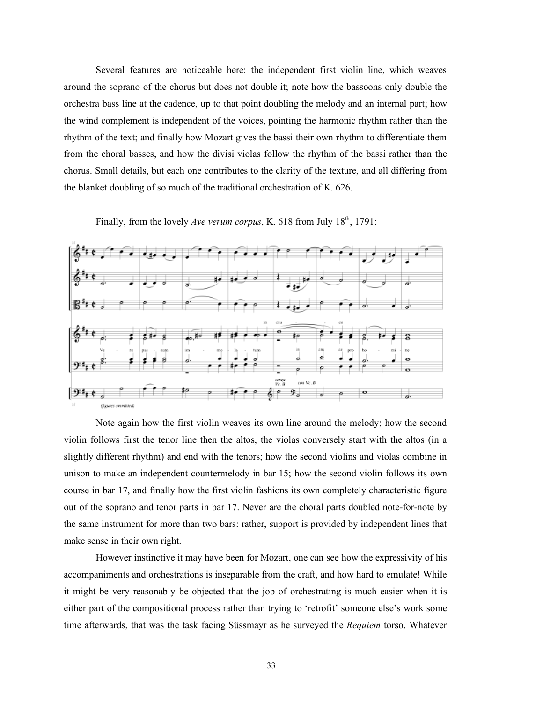Several features are noticeable here: the independent first violin line, which weaves around the soprano of the chorus but does not double it; note how the bassoons only double the orchestra bass line at the cadence, up to that point doubling the melody and an internal part; how the wind complement is independent of the voices, pointing the harmonic rhythm rather than the rhythm of the text; and finally how Mozart gives the bassi their own rhythm to differentiate them from the choral basses, and how the divisi violas follow the rhythm of the bassi rather than the chorus. Small details, but each one contributes to the clarity of the texture, and all differing from the blanket doubling of so much of the traditional orchestration of K. 626.



Finally, from the lovely *Ave verum corpus*, K. 618 from July  $18<sup>th</sup>$ , 1791:

Note again how the first violin weaves its own line around the melody; how the second violin follows first the tenor line then the altos, the violas conversely start with the altos (in a slightly different rhythm) and end with the tenors; how the second violins and violas combine in unison to make an independent countermelody in bar 15; how the second violin follows its own course in bar 17, and finally how the first violin fashions its own completely characteristic figure out of the soprano and tenor parts in bar 17. Never are the choral parts doubled note-for-note by the same instrument for more than two bars: rather, support is provided by independent lines that make sense in their own right.

However instinctive it may have been for Mozart, one can see how the expressivity of his accompaniments and orchestrations is inseparable from the craft, and how hard to emulate! While it might be very reasonably be objected that the job of orchestrating is much easier when it is either part of the compositional process rather than trying to 'retrofit' someone else's work some time afterwards, that was the task facing Süssmayr as he surveyed the *Requiem* torso. Whatever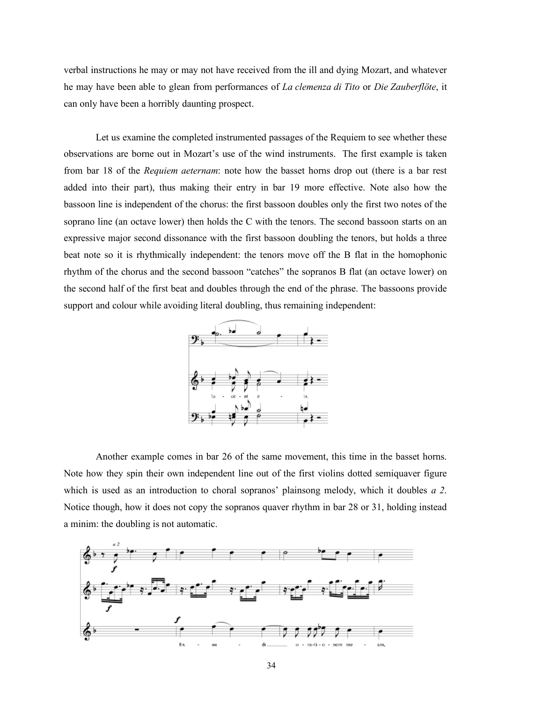verbal instructions he may or may not have received from the ill and dying Mozart, and whatever he may have been able to glean from performances of *La clemenza di Tito* or *Die Zauberflöte*, it can only have been a horribly daunting prospect.

Let us examine the completed instrumented passages of the Requiem to see whether these observations are borne out in Mozart's use of the wind instruments. The first example is taken from bar 18 of the *Requiem aeternam*: note how the basset horns drop out (there is a bar rest added into their part), thus making their entry in bar 19 more effective. Note also how the bassoon line is independent of the chorus: the first bassoon doubles only the first two notes of the soprano line (an octave lower) then holds the C with the tenors. The second bassoon starts on an expressive major second dissonance with the first bassoon doubling the tenors, but holds a three beat note so it is rhythmically independent: the tenors move off the B flat in the homophonic rhythm of the chorus and the second bassoon "catches" the sopranos B flat (an octave lower) on the second half of the first beat and doubles through the end of the phrase. The bassoons provide support and colour while avoiding literal doubling, thus remaining independent:



Another example comes in bar 26 of the same movement, this time in the basset horns. Note how they spin their own independent line out of the first violins dotted semiquaver figure which is used as an introduction to choral sopranos' plainsong melody, which it doubles *a 2*. Notice though, how it does not copy the sopranos quaver rhythm in bar 28 or 31, holding instead a minim: the doubling is not automatic.

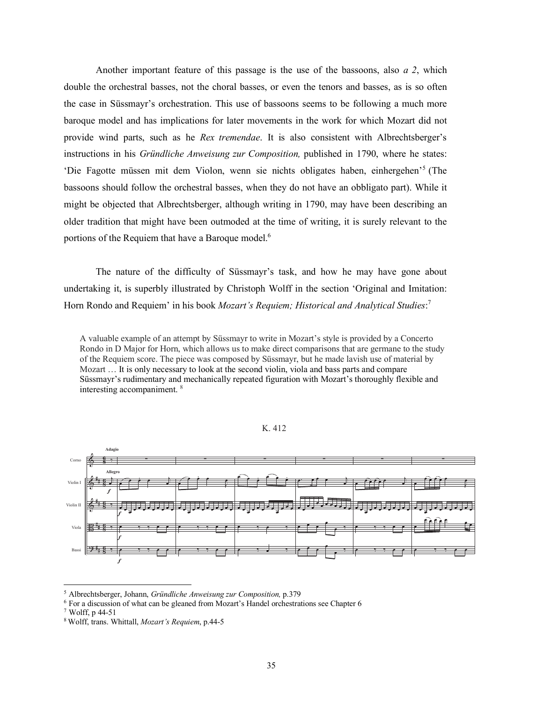Another important feature of this passage is the use of the bassoons, also *a 2*, which double the orchestral basses, not the choral basses, or even the tenors and basses, as is so often the case in Süssmayr's orchestration. This use of bassoons seems to be following a much more baroque model and has implications for later movements in the work for which Mozart did not provide wind parts, such as he *Rex tremendae*. It is also consistent with Albrechtsberger's instructions in his *Gründliche Anweisung zur Composition,* published in 1790, where he states: 'Die Fagotte müssen mit dem Violon, wenn sie nichts obligates haben, einhergehen' <sup>5</sup> (The bassoons should follow the orchestral basses, when they do not have an obbligato part). While it might be objected that Albrechtsberger, although writing in 1790, may have been describing an older tradition that might have been outmoded at the time of writing, it is surely relevant to the portions of the Requiem that have a Baroque model.<sup>6</sup>

The nature of the difficulty of Süssmayr's task, and how he may have gone about undertaking it, is superbly illustrated by Christoph Wolff in the section 'Original and Imitation: Horn Rondo and Requiem' in his book *Mozart's Requiem; Historical and Analytical Studies*: 7

A valuable example of an attempt by Süssmayr to write in Mozart's style is provided by a Concerto Rondo in D Major for Horn, which allows us to make direct comparisons that are germane to the study of the Requiem score. The piece was composed by Süssmayr, but he made lavish use of material by Mozart … It is only necessary to look at the second violin, viola and bass parts and compare Süssmayr's rudimentary and mechanically repeated figuration with Mozart's thoroughly flexible and interesting accompaniment. <sup>8</sup>



K. 412

<sup>≤&</sup>lt;br>Extending *S* Albrechtsberger, Johann, *Gründliche Anweisung zur Composition*, p.379

 $^6$  For a discussion of what can be gleaned from Mozart's Handel orchestrations see Chapter 6  $^7$  Wolff, p 44-51 .

 $7 \text{ Wolff, p } 44-51$ 

<sup>8</sup> Wolff, trans. Whittall, *Mozart's Requiem*, p.44-5  $m \neq 2$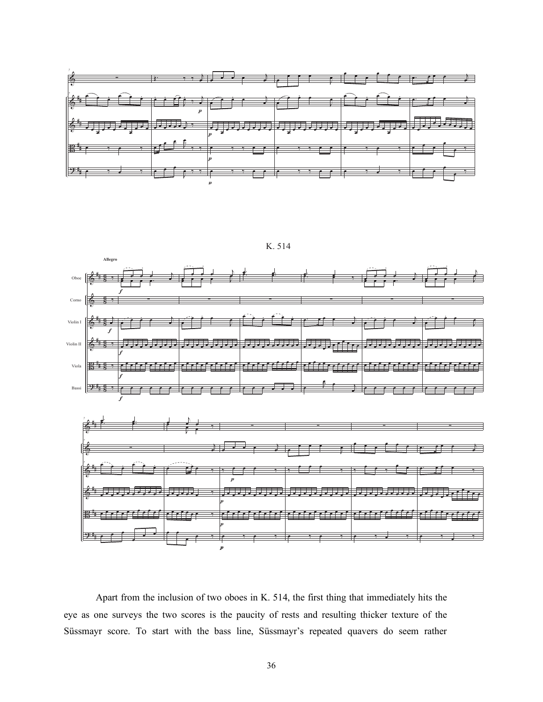



Apart from the inclusion of two oboes in K. 514, the first thing that immediately hits the eye as one surveys the two scores is the paucity of rests and resulting thicker texture of the Süssmayr score. To start with the bass line, Süssmayr's repeated quavers do seem rather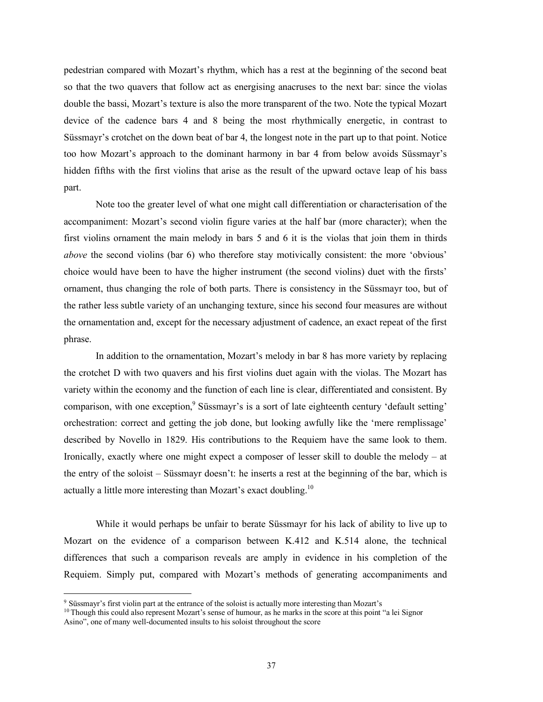pedestrian compared with Mozart's rhythm, which has a rest at the beginning of the second beat so that the two quavers that follow act as energising anacruses to the next bar: since the violas double the bassi, Mozart's texture is also the more transparent of the two. Note the typical Mozart device of the cadence bars 4 and 8 being the most rhythmically energetic, in contrast to Süssmayr's crotchet on the down beat of bar 4, the longest note in the part up to that point. Notice too how Mozart's approach to the dominant harmony in bar 4 from below avoids Süssmayr's hidden fifths with the first violins that arise as the result of the upward octave leap of his bass part.

Note too the greater level of what one might call differentiation or characterisation of the accompaniment: Mozart's second violin figure varies at the half bar (more character); when the first violins ornament the main melody in bars 5 and 6 it is the violas that join them in thirds *above* the second violins (bar 6) who therefore stay motivically consistent: the more 'obvious' choice would have been to have the higher instrument (the second violins) duet with the firsts' ornament, thus changing the role of both parts. There is consistency in the Süssmayr too, but of the rather less subtle variety of an unchanging texture, since his second four measures are without the ornamentation and, except for the necessary adjustment of cadence, an exact repeat of the first phrase.

In addition to the ornamentation, Mozart's melody in bar 8 has more variety by replacing the crotchet D with two quavers and his first violins duet again with the violas. The Mozart has variety within the economy and the function of each line is clear, differentiated and consistent. By comparison, with one exception,<sup>9</sup> Süssmayr's is a sort of late eighteenth century 'default setting' orchestration: correct and getting the job done, but looking awfully like the 'mere remplissage' described by Novello in 1829. His contributions to the Requiem have the same look to them. Ironically, exactly where one might expect a composer of lesser skill to double the melody – at the entry of the soloist – Süssmayr doesn't: he inserts a rest at the beginning of the bar, which is actually a little more interesting than Mozart's exact doubling.10

While it would perhaps be unfair to berate Süssmayr for his lack of ability to live up to Mozart on the evidence of a comparison between K.412 and K.514 alone, the technical differences that such a comparison reveals are amply in evidence in his completion of the Requiem. Simply put, compared with Mozart's methods of generating accompaniments and

 <sup>9</sup> Süssmayr's first violin part at the entrance of the soloist is actually more interesting than Mozart's

<sup>&</sup>lt;sup>10</sup> Though this could also represent Mozart's sense of humour, as he marks in the score at this point "a lei Signor Asino", one of many well-documented insults to his soloist throughout the score